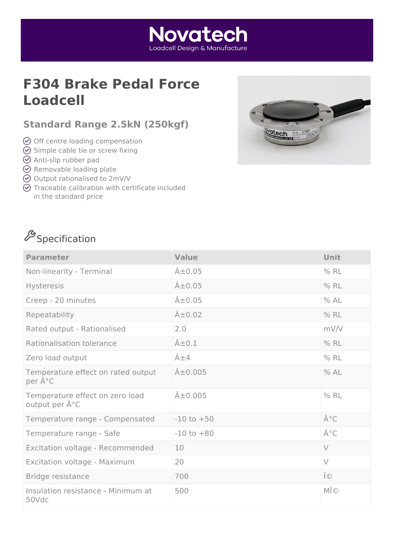## **F304 Brake Pedal Force Loadcell**

### **Standard Range 2.5kN (250kgf)**

- $\odot$  Off centre loading compensation
- $\odot$  Simple cable tie or screw fixing
- $\odot$  Anti-slip rubber pad
- $\odot$  Removable loading plate
- Output rationalised to 2mV/V
- $\odot$  Traceable calibration with certificate included in the standard price

## $\mathscr{S}_\mathsf{Spec}$ ification

| <b>Parameter</b>                                                 | <b>Value</b>        | Unit   |
|------------------------------------------------------------------|---------------------|--------|
| Non-linearity - Terminal                                         | $\hat{A} \pm 0.05$  | $%$ RL |
| Hysteresis                                                       | $\hat{A} \pm 0.05$  | $%$ RL |
| Creep - 20 minutes                                               | $\hat{A} \pm 0.05$  | % AL   |
| Repeatability                                                    | $\hat{A} \pm 0.02$  | $%$ RL |
| Rated output - Rationalised                                      | 2.0                 | mV/V   |
| Rationalisation tolerance                                        | $\hat{A} \pm 0.1$   | % RL   |
| Zero load output                                                 | $\hat{A} \pm 4$     | $%$ RL |
| Temperature effect on rated output<br>per °C                     | $\hat{A} \pm 0.005$ | % AL   |
| Temperature effect on zero load<br>output per $\hat{A}^{\circ}C$ | $A\pm0.005$         | $%$ RL |
| Temperature range - Compensated                                  | $-10$ to $+50$      | °C     |
| Temperature range - Safe                                         | $-10$ to $+80$      | °C     |
| Excitation voltage - Recommended                                 | 10                  | $\vee$ |
| Excitation voltage - Maximum                                     | 20                  | $\vee$ |
| Bridge resistance                                                | 700                 | Ω      |
| Insulation resistance - Minimum at<br>50Vdc                      | 500                 | MΩ     |



### **Novatech** Loadcell Desian & Manufacture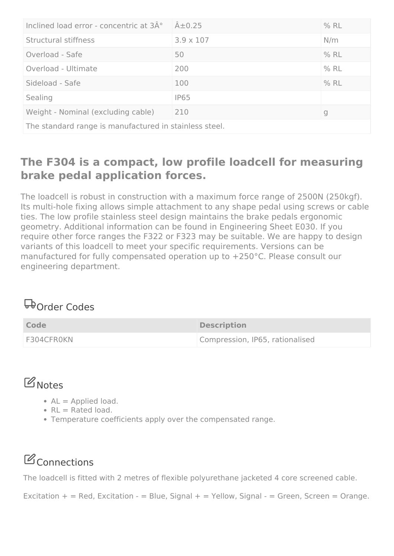| Inclined load error - concentric at 3°                 | $\hat{A} \pm 0.25$ | $%$ RL |
|--------------------------------------------------------|--------------------|--------|
| Structural stiffness                                   | $3.9 \times 107$   | N/m    |
| Overload - Safe                                        | 50                 | $%$ RL |
| Overload - Ultimate                                    | 200                | $%$ RL |
| Sideload - Safe                                        | 100                | $%$ RL |
| Sealing                                                | <b>IP65</b>        |        |
| Weight - Nominal (excluding cable)                     | 210                | g      |
| The standard range is manufactured in stainless steel. |                    |        |

### **The F304 is a compact, low profile loadcell for measuring brake pedal application forces.**

The loadcell is robust in construction with a maximum force range of 2500N (250kgf). Its multi-hole fixing allows simple attachment to any shape pedal using screws or cable ties. The low profile stainless steel design maintains the brake pedals ergonomic geometry. Additional information can be found in Engineering Sheet E030. If you require other force ranges the F322 or F323 may be suitable. We are happy to design variants of this loadcell to meet your specific requirements. Versions can be manufactured for fully compensated operation up to +250°C. Please consult our engineering department.

## **D**order Codes

| Code       | <b>Description</b>              |
|------------|---------------------------------|
| F304CFR0KN | Compression, IP65, rationalised |

## **B** Notes

- $AL =$  Applied load.
- $\cdot$  RL = Rated load.
- Temperature coefficients apply over the compensated range.

# **C**Connections

The loadcell is fitted with 2 metres of flexible polyurethane jacketed 4 core screened cable.

Excitation  $+$  = Red, Excitation - = Blue, Signal + = Yellow, Signal - = Green, Screen = Orange.